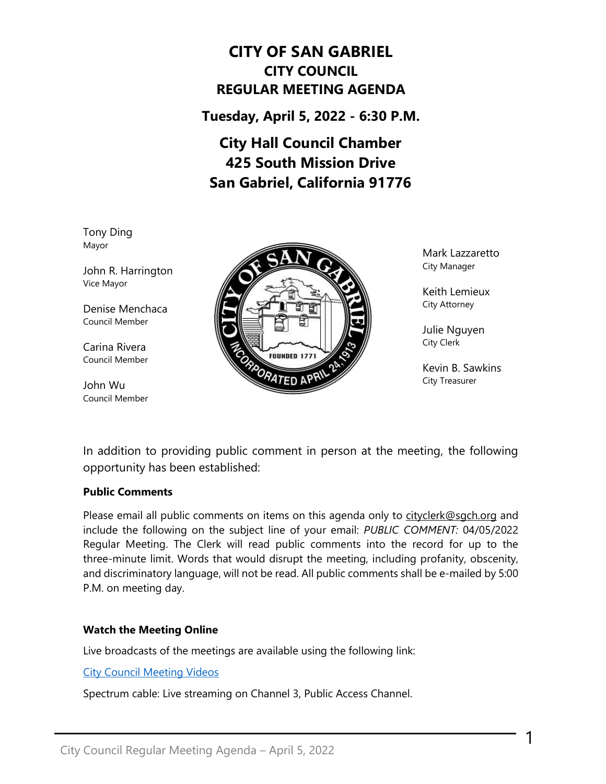# **CITY OF SAN GABRIEL CITY COUNCIL REGULAR MEETING AGENDA**

**Tuesday, April 5, 2022 - 6:30 P.M.**

# **City Hall Council Chamber 425 South Mission Drive San Gabriel, California 91776**

Tony Ding Mayor

John R. Harrington Vice Mayor

Denise Menchaca Council Member

Carina Rivera Council Member

John Wu Council Member



Mark Lazzaretto City Manager

Keith Lemieux City Attorney

Julie Nguyen City Clerk

Kevin B. Sawkins City Treasurer

1

In addition to providing public comment in person at the meeting, the following opportunity has been established:

#### **Public Comments**

Please email all public comments on items on this agenda only to [cityclerk@sgch.org](mailto:cityclerk@sgch.org) and include the following on the subject line of your email: *PUBLIC COMMENT:* 04/05/2022 Regular Meeting. The Clerk will read public comments into the record for up to the three-minute limit. Words that would disrupt the meeting, including profanity, obscenity, and discriminatory language, will not be read. All public comments shall be e-mailed by 5:00 P.M. on meeting day.

### **Watch the Meeting Online**

Live broadcasts of the meetings are available using the following link:

[City Council Meeting Videos](https://www.youtube.com/CityofSanGabriel)

Spectrum cable: Live streaming on Channel 3, Public Access Channel.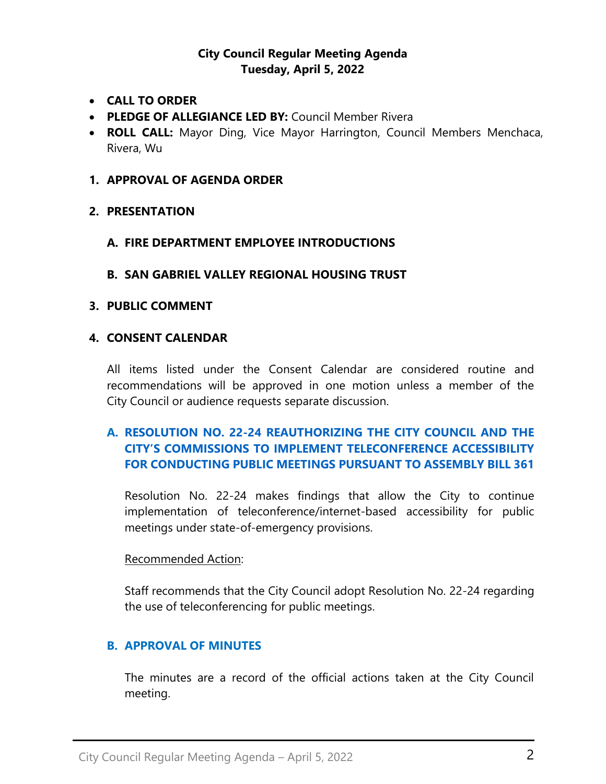### **City Council Regular Meeting Agenda Tuesday, April 5, 2022**

- **CALL TO ORDER**
- **PLEDGE OF ALLEGIANCE LED BY:** Council Member Rivera
- **ROLL CALL:** Mayor Ding, Vice Mayor Harrington, Council Members Menchaca, Rivera, Wu

#### **1. APPROVAL OF AGENDA ORDER**

### **2. PRESENTATION**

### **A. FIRE DEPARTMENT EMPLOYEE INTRODUCTIONS**

### **B. SAN GABRIEL VALLEY REGIONAL HOUSING TRUST**

### **3. PUBLIC COMMENT**

### **4. CONSENT CALENDAR**

All items listed under the Consent Calendar are considered routine and recommendations will be approved in one motion unless a member of the City Council or audience requests separate discussion.

# **A. RESOLUTION NO. 22-24 [REAUTHORIZING THE CITY COUNCIL AND THE](https://www.sangabrielcity.com/DocumentCenter/View/16312/Item-4A---Reso-No-22-24-Reauthorizing-the-City-Council-and-the-Citys-Commissions-to-Implement-Teleconference-Accessbility)  [CITY'S COMMISSIONS TO IMPLEMENT TELECONFERENCE ACCESSIBILITY](https://www.sangabrielcity.com/DocumentCenter/View/16312/Item-4A---Reso-No-22-24-Reauthorizing-the-City-Council-and-the-Citys-Commissions-to-Implement-Teleconference-Accessbility)  [FOR CONDUCTING PUBLIC MEETINGS PURSUANT TO ASSEMBLY BILL 361](https://www.sangabrielcity.com/DocumentCenter/View/16312/Item-4A---Reso-No-22-24-Reauthorizing-the-City-Council-and-the-Citys-Commissions-to-Implement-Teleconference-Accessbility)**

Resolution No. 22-24 makes findings that allow the City to continue implementation of teleconference/internet-based accessibility for public meetings under state-of-emergency provisions.

#### Recommended Action:

Staff recommends that the City Council adopt Resolution No. 22-24 regarding the use of teleconferencing for public meetings.

### **B. APPROVAL OF MINUTES**

The minutes are a record of the official actions taken at the City Council meeting.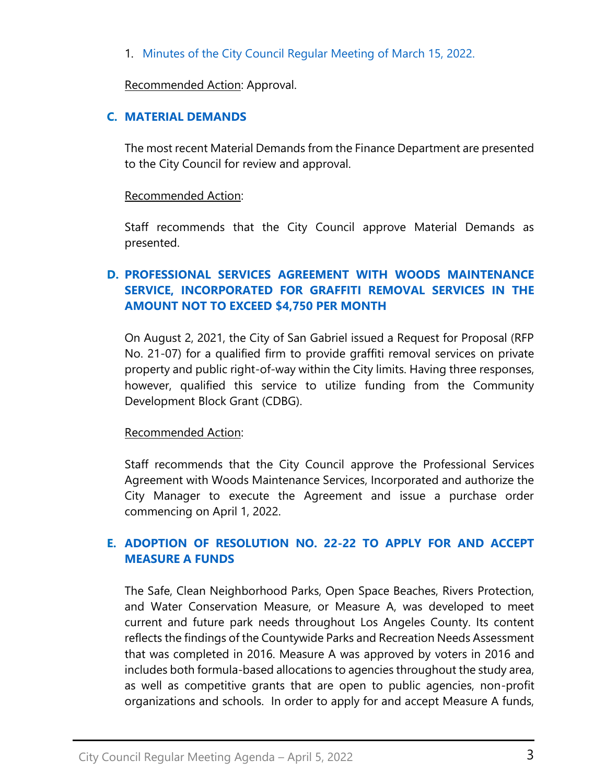1. [Minutes of the City Council Regular Meeting of March 15, 2022.](https://www.sangabrielcity.com/DocumentCenter/View/16298/Item-4A---Minutes)

Recommended Action: Approval.

### **C. [MATERIAL DEMANDS](https://www.sangabrielcity.com/DocumentCenter/View/16299/Item-4B---Material-Demands)**

The most recent Material Demands from the Finance Department are presented to the City Council for review and approval.

### Recommended Action:

Staff recommends that the City Council approve Material Demands as presented.

# **D. [PROFESSIONAL SERVICES AGREEMENT WITH WOODS MAINTENANCE](https://www.sangabrielcity.com/DocumentCenter/View/16300/Item-4C---Professional-Services-Agreement-with-Woods-Maintenance-Service-Incorporated-for-Graffiti-Removal-Services)  [SERVICE, INCORPORATED FOR GRAFFITI REMOVAL SERVICES IN THE](https://www.sangabrielcity.com/DocumentCenter/View/16300/Item-4C---Professional-Services-Agreement-with-Woods-Maintenance-Service-Incorporated-for-Graffiti-Removal-Services)  [AMOUNT NOT TO EXCEED \\$4,750 PER MONTH](https://www.sangabrielcity.com/DocumentCenter/View/16300/Item-4C---Professional-Services-Agreement-with-Woods-Maintenance-Service-Incorporated-for-Graffiti-Removal-Services)**

On August 2, 2021, the City of San Gabriel issued a Request for Proposal (RFP No. 21-07) for a qualified firm to provide graffiti removal services on private property and public right-of-way within the City limits. Having three responses, however, qualified this service to utilize funding from the Community Development Block Grant (CDBG).

### Recommended Action:

Staff recommends that the City Council approve the Professional Services Agreement with Woods Maintenance Services, Incorporated and authorize the City Manager to execute the Agreement and issue a purchase order commencing on April 1, 2022.

# **E. [ADOPTION OF RESOLUTION NO. 22-22 TO APPLY FOR AND ACCEPT](https://www.sangabrielcity.com/DocumentCenter/View/16301/Item-4D---Adoption-of-Resolution-No-22-22-to-Apply-for-and-Accept-Measure-A-Funds)  [MEASURE A FUNDS](https://www.sangabrielcity.com/DocumentCenter/View/16301/Item-4D---Adoption-of-Resolution-No-22-22-to-Apply-for-and-Accept-Measure-A-Funds)**

The Safe, Clean Neighborhood Parks, Open Space Beaches, Rivers Protection, and Water Conservation Measure, or Measure A, was developed to meet current and future park needs throughout Los Angeles County. Its content reflects the findings of the Countywide Parks and Recreation Needs Assessment that was completed in 2016. Measure A was approved by voters in 2016 and includes both formula-based allocations to agencies throughout the study area, as well as competitive grants that are open to public agencies, non-profit organizations and schools. In order to apply for and accept Measure A funds,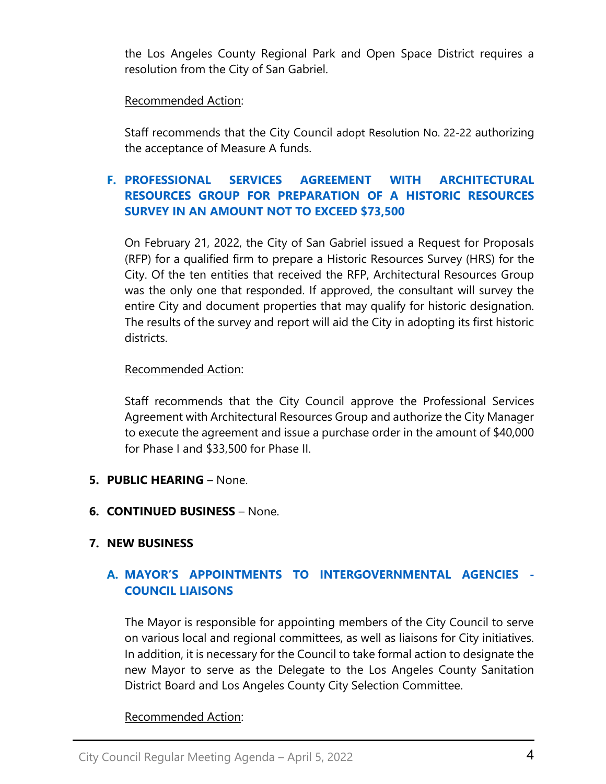the Los Angeles County Regional Park and Open Space District requires a resolution from the City of San Gabriel.

### Recommended Action:

Staff recommends that the City Council adopt Resolution No. 22-22 authorizing the acceptance of Measure A funds.

# **F. [PROFESSIONAL SERVICES AGREEMENT WITH ARCHITECTURAL](https://www.sangabrielcity.com/DocumentCenter/View/16313/Item-4F---PSA-with-Architectural-Resources-Group-for-Preparation-of-a-Historic-Resources-Survey)  [RESOURCES GROUP FOR PREPARATION OF A HISTORIC RESOURCES](https://www.sangabrielcity.com/DocumentCenter/View/16313/Item-4F---PSA-with-Architectural-Resources-Group-for-Preparation-of-a-Historic-Resources-Survey)  SURVEY [IN AN AMOUNT NOT TO EXCEED \\$73,500](https://www.sangabrielcity.com/DocumentCenter/View/16313/Item-4F---PSA-with-Architectural-Resources-Group-for-Preparation-of-a-Historic-Resources-Survey)**

On February 21, 2022, the City of San Gabriel issued a Request for Proposals (RFP) for a qualified firm to prepare a Historic Resources Survey (HRS) for the City. Of the ten entities that received the RFP, Architectural Resources Group was the only one that responded. If approved, the consultant will survey the entire City and document properties that may qualify for historic designation. The results of the survey and report will aid the City in adopting its first historic districts.

### Recommended Action:

Staff recommends that the City Council approve the Professional Services Agreement with Architectural Resources Group and authorize the City Manager to execute the agreement and issue a purchase order in the amount of \$40,000 for Phase I and \$33,500 for Phase II.

- **5. PUBLIC HEARING** None.
- **6. CONTINUED BUSINESS**  None.

# **7. NEW BUSINESS**

# **A. [MAYOR'S APPOINTMENTS TO INTERGOVERNMENTAL AGENCIES](https://www.sangabrielcity.com/DocumentCenter/View/16315/Item-7A---Mayors-Appointments-to-Intergovernmental-Agencies---Council-Liaisons) - [COUNCIL LIAISONS](https://www.sangabrielcity.com/DocumentCenter/View/16315/Item-7A---Mayors-Appointments-to-Intergovernmental-Agencies---Council-Liaisons)**

The Mayor is responsible for appointing members of the City Council to serve on various local and regional committees, as well as liaisons for City initiatives. In addition, it is necessary for the Council to take formal action to designate the new Mayor to serve as the Delegate to the Los Angeles County Sanitation District Board and Los Angeles County City Selection Committee.

### Recommended Action: